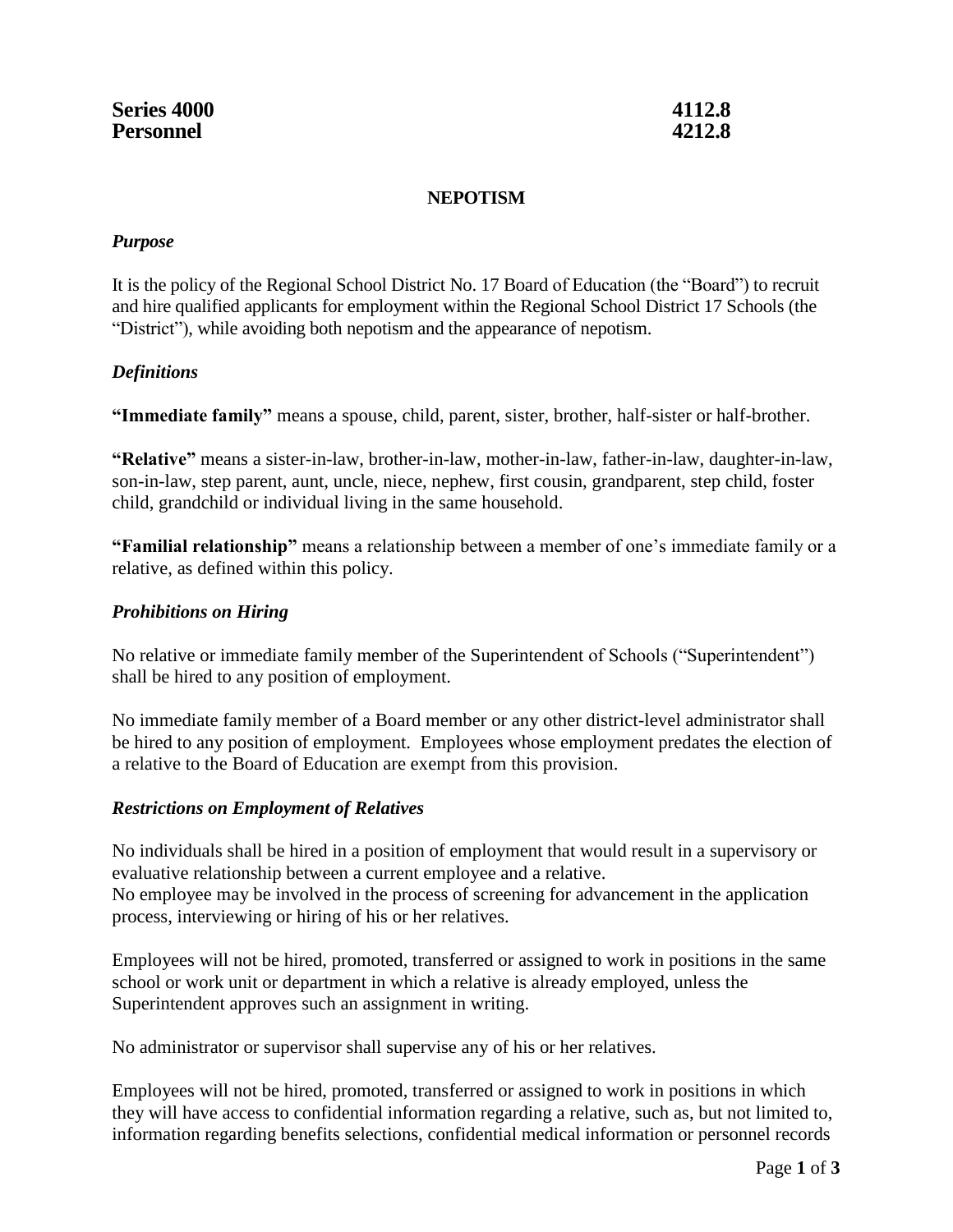#### **NEPOTISM**

#### *Purpose*

It is the policy of the Regional School District No. 17 Board of Education (the "Board") to recruit and hire qualified applicants for employment within the Regional School District 17 Schools (the "District"), while avoiding both nepotism and the appearance of nepotism.

## *Definitions*

**"Immediate family"** means a spouse, child, parent, sister, brother, half-sister or half-brother.

**"Relative"** means a sister-in-law, brother-in-law, mother-in-law, father-in-law, daughter-in-law, son-in-law, step parent, aunt, uncle, niece, nephew, first cousin, grandparent, step child, foster child, grandchild or individual living in the same household.

**"Familial relationship"** means a relationship between a member of one's immediate family or a relative, as defined within this policy.

## *Prohibitions on Hiring*

No relative or immediate family member of the Superintendent of Schools ("Superintendent") shall be hired to any position of employment.

No immediate family member of a Board member or any other district-level administrator shall be hired to any position of employment. Employees whose employment predates the election of a relative to the Board of Education are exempt from this provision.

## *Restrictions on Employment of Relatives*

No individuals shall be hired in a position of employment that would result in a supervisory or evaluative relationship between a current employee and a relative. No employee may be involved in the process of screening for advancement in the application process, interviewing or hiring of his or her relatives.

Employees will not be hired, promoted, transferred or assigned to work in positions in the same school or work unit or department in which a relative is already employed, unless the Superintendent approves such an assignment in writing.

No administrator or supervisor shall supervise any of his or her relatives.

Employees will not be hired, promoted, transferred or assigned to work in positions in which they will have access to confidential information regarding a relative, such as, but not limited to, information regarding benefits selections, confidential medical information or personnel records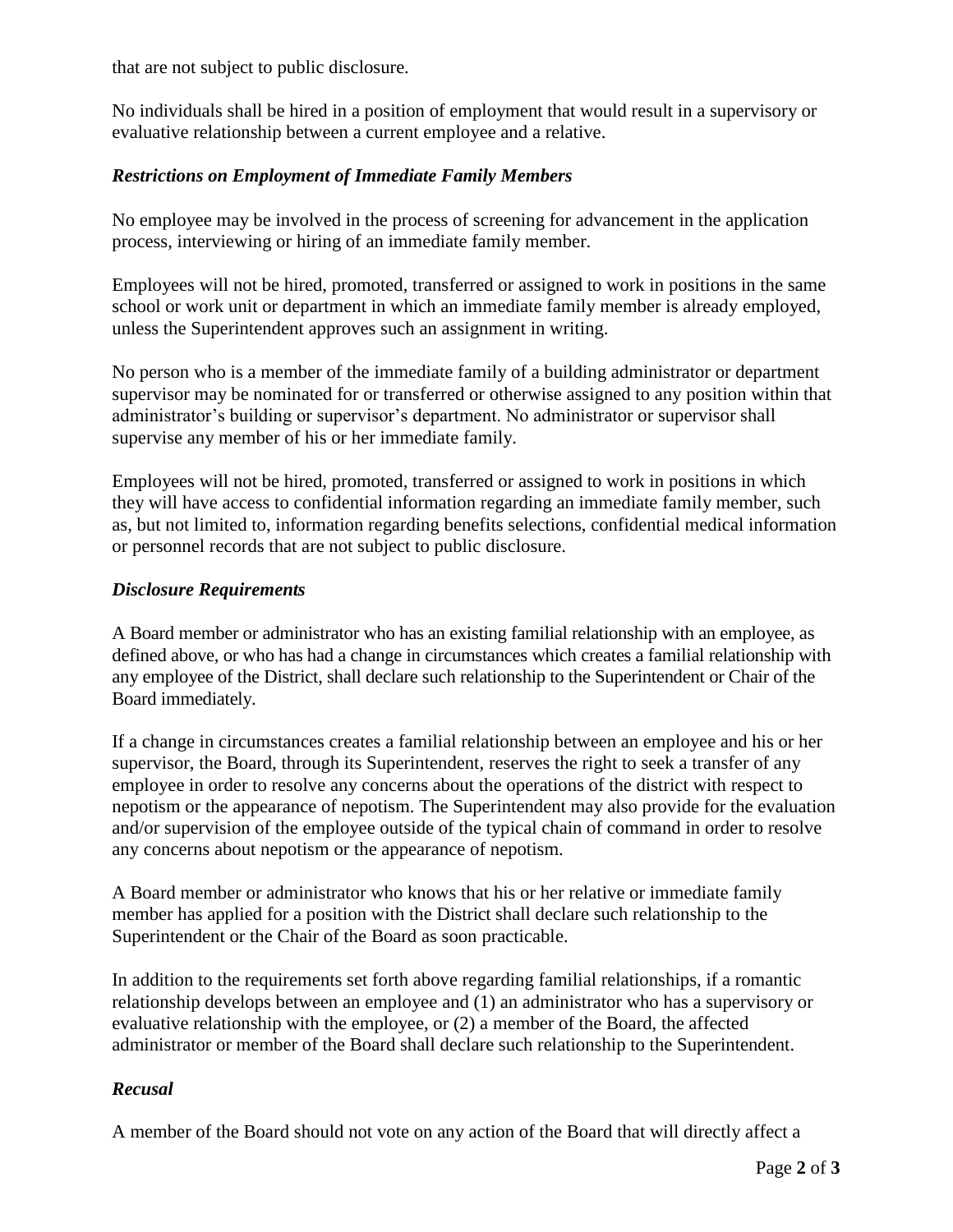that are not subject to public disclosure.

No individuals shall be hired in a position of employment that would result in a supervisory or evaluative relationship between a current employee and a relative.

## *Restrictions on Employment of Immediate Family Members*

No employee may be involved in the process of screening for advancement in the application process, interviewing or hiring of an immediate family member.

Employees will not be hired, promoted, transferred or assigned to work in positions in the same school or work unit or department in which an immediate family member is already employed, unless the Superintendent approves such an assignment in writing.

No person who is a member of the immediate family of a building administrator or department supervisor may be nominated for or transferred or otherwise assigned to any position within that administrator's building or supervisor's department. No administrator or supervisor shall supervise any member of his or her immediate family.

Employees will not be hired, promoted, transferred or assigned to work in positions in which they will have access to confidential information regarding an immediate family member, such as, but not limited to, information regarding benefits selections, confidential medical information or personnel records that are not subject to public disclosure.

#### *Disclosure Requirements*

A Board member or administrator who has an existing familial relationship with an employee, as defined above, or who has had a change in circumstances which creates a familial relationship with any employee of the District, shall declare such relationship to the Superintendent or Chair of the Board immediately.

If a change in circumstances creates a familial relationship between an employee and his or her supervisor, the Board, through its Superintendent, reserves the right to seek a transfer of any employee in order to resolve any concerns about the operations of the district with respect to nepotism or the appearance of nepotism. The Superintendent may also provide for the evaluation and/or supervision of the employee outside of the typical chain of command in order to resolve any concerns about nepotism or the appearance of nepotism.

A Board member or administrator who knows that his or her relative or immediate family member has applied for a position with the District shall declare such relationship to the Superintendent or the Chair of the Board as soon practicable.

In addition to the requirements set forth above regarding familial relationships, if a romantic relationship develops between an employee and (1) an administrator who has a supervisory or evaluative relationship with the employee, or (2) a member of the Board, the affected administrator or member of the Board shall declare such relationship to the Superintendent.

## *Recusal*

A member of the Board should not vote on any action of the Board that will directly affect a